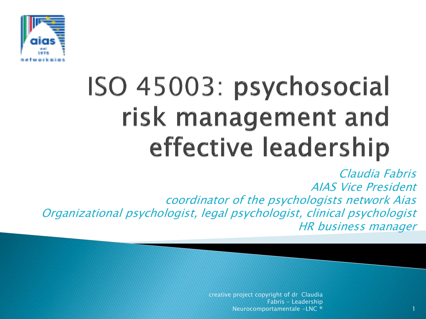

## ISO 45003: psychosocial risk management and effective leadership

Claudia Fabris AIAS Vice President coordinator of the psychologists network Aias Organizational psychologist, legal psychologist, clinical psychologist HR business manager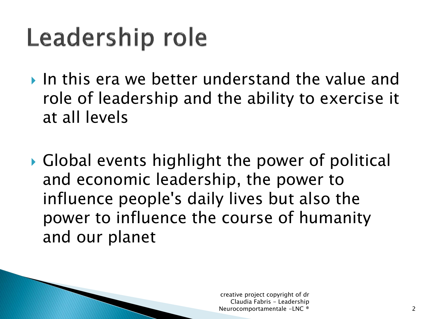#### Leadership role

- In this era we better understand the value and role of leadership and the ability to exercise it at all levels
- Global events highlight the power of political and economic leadership, the power to influence people's daily lives but also the power to influence the course of humanity and our planet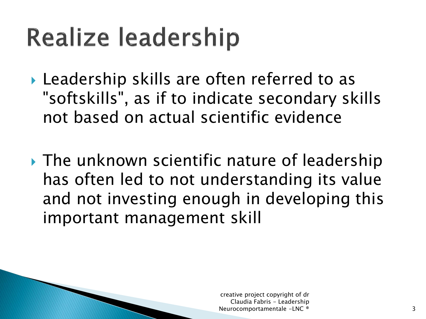- ▶ Leadership skills are often referred to as "softskills", as if to indicate secondary skills not based on actual scientific evidence
- **The unknown scientific nature of leadership** has often led to not understanding its value and not investing enough in developing this important management skill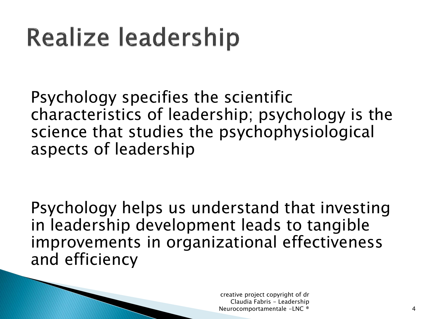Psychology specifies the scientific characteristics of leadership; psychology is the science that studies the psychophysiological aspects of leadership

Psychology helps us understand that investing in leadership development leads to tangible improvements in organizational effectiveness and efficiency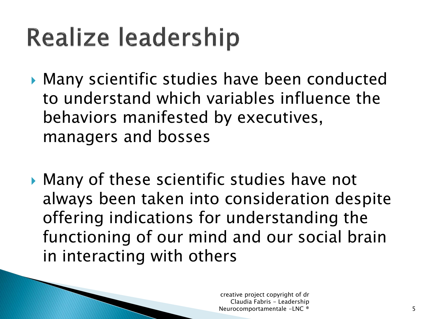- Many scientific studies have been conducted to understand which variables influence the behaviors manifested by executives, managers and bosses
- Many of these scientific studies have not always been taken into consideration despite offering indications for understanding the functioning of our mind and our social brain in interacting with others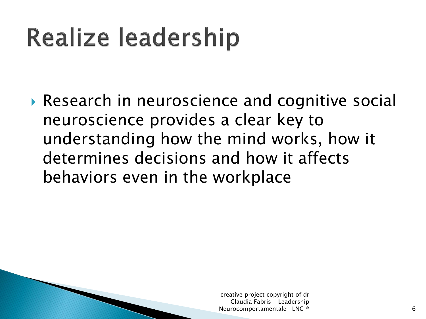Research in neuroscience and cognitive social neuroscience provides a clear key to understanding how the mind works, how it determines decisions and how it affects behaviors even in the workplace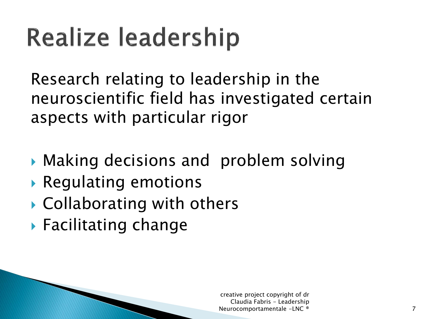Research relating to leadership in the neuroscientific field has investigated certain aspects with particular rigor

- Making decisions and problem solving
- Regulating emotions
- ▶ Collaborating with others
- ▶ Facilitating change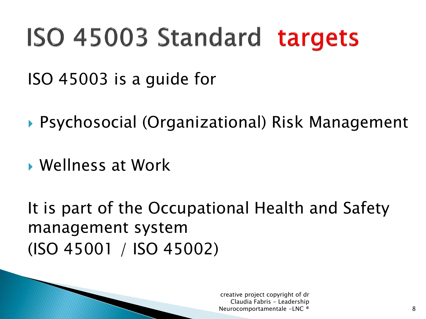#### ISO 45003 Standard targets

ISO 45003 is a guide for

▶ Psychosocial (Organizational) Risk Management

Wellness at Work

It is part of the Occupational Health and Safety management system (ISO 45001 / ISO 45002)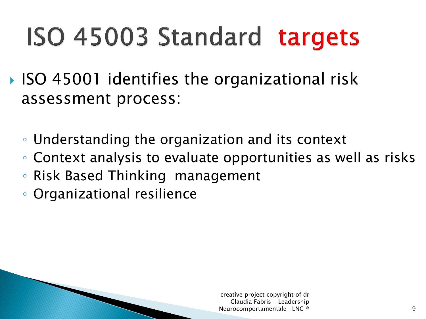### ISO 45003 Standard targets

- ISO 45001 identifies the organizational risk assessment process:
	- Understanding the organization and its context
	- Context analysis to evaluate opportunities as well as risks
	- Risk Based Thinking management
	- Organizational resilience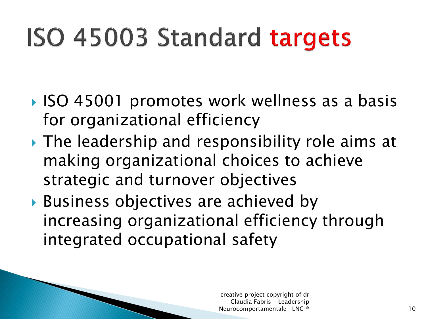## ISO 45003 Standard targets

- ISO 45001 promotes work wellness as a basis for organizational efficiency
- ▶ The leadership and responsibility role aims at making organizational choices to achieve strategic and turnover objectives
- Business objectives are achieved by increasing organizational efficiency through integrated occupational safety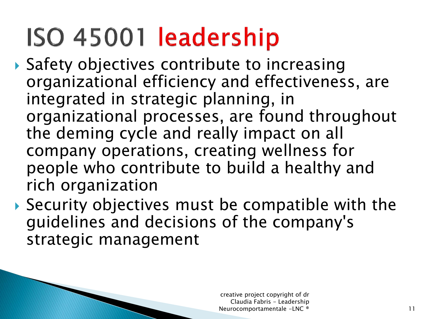#### ISO 45001 leadership

- ▶ Safety objectives contribute to increasing organizational efficiency and effectiveness, are integrated in strategic planning, in organizational processes, are found throughout the deming cycle and really impact on all company operations, creating wellness for people who contribute to build a healthy and rich organization
- ▶ Security objectives must be compatible with the guidelines and decisions of the company's strategic management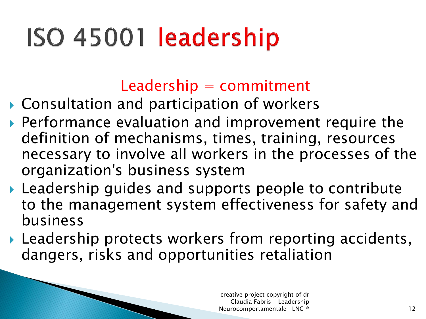## ISO 45001 leadership

 $Leadership = commitment$ 

- ▶ Consultation and participation of workers
- Performance evaluation and improvement require the definition of mechanisms, times, training, resources necessary to involve all workers in the processes of the organization's business system
- Leadership guides and supports people to contribute to the management system effectiveness for safety and business
- Leadership protects workers from reporting accidents, dangers, risks and opportunities retaliation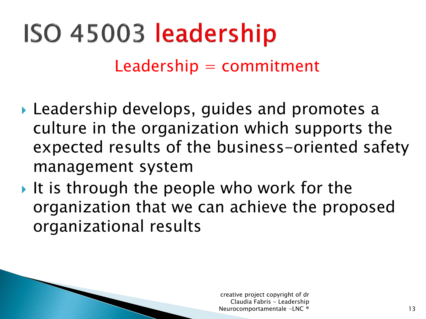# ISO 45003 leadership

#### $Leadership = commitment$

- Leadership develops, guides and promotes a culture in the organization which supports the expected results of the business-oriented safety management system
- It is through the people who work for the organization that we can achieve the proposed organizational results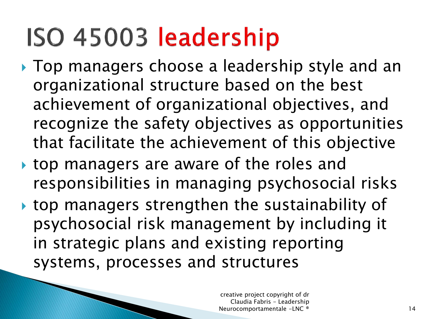#### ISO 45003 leadership

- ▶ Top managers choose a leadership style and an organizational structure based on the best achievement of organizational objectives, and recognize the safety objectives as opportunities that facilitate the achievement of this objective
- top managers are aware of the roles and responsibilities in managing psychosocial risks
- top managers strengthen the sustainability of psychosocial risk management by including it in strategic plans and existing reporting systems, processes and structures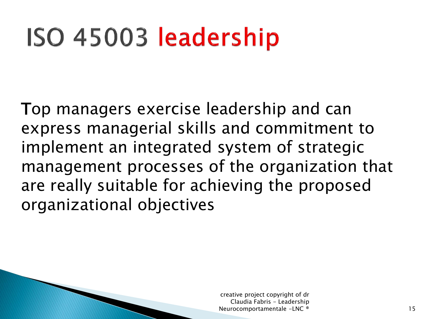#### ISO 45003 leadership

Top managers exercise leadership and can express managerial skills and commitment to implement an integrated system of strategic management processes of the organization that are really suitable for achieving the proposed organizational objectives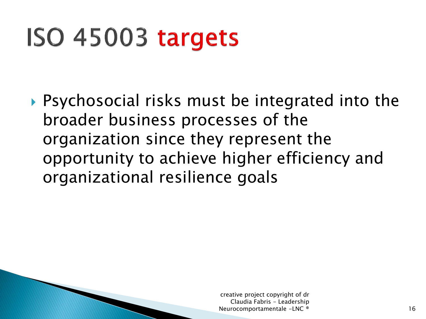#### ISO 45003 targets

 Psychosocial risks must be integrated into the broader business processes of the organization since they represent the opportunity to achieve higher efficiency and organizational resilience goals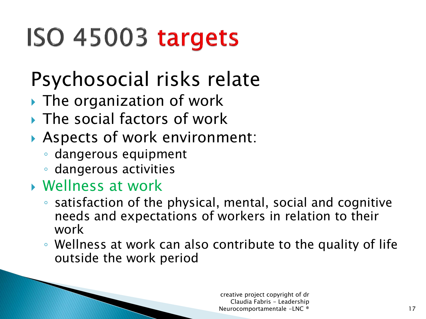### ISO 45003 targets

#### Psychosocial risks relate

- ▶ The organization of work
- ▶ The social factors of work
- Aspects of work environment:
	- dangerous equipment
	- dangerous activities

#### Wellness at work

- satisfaction of the physical, mental, social and cognitive needs and expectations of workers in relation to their work
- Wellness at work can also contribute to the quality of life outside the work period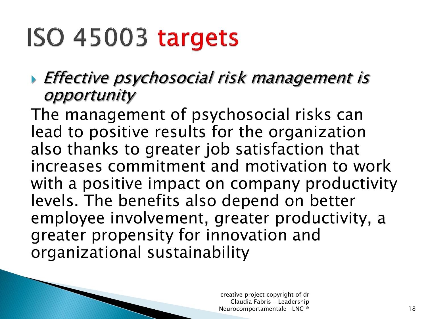#### ISO 45003 targets

**Effective psychosocial risk management is** opportunity

The management of psychosocial risks can lead to positive results for the organization also thanks to greater job satisfaction that increases commitment and motivation to work with a positive impact on company productivity levels. The benefits also depend on better employee involvement, greater productivity, a greater propensity for innovation and organizational sustainability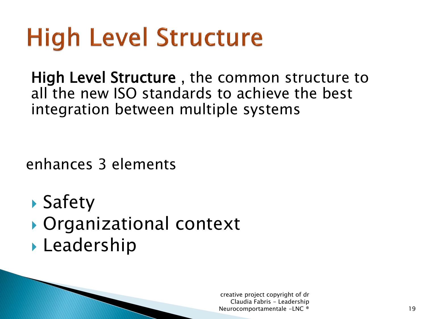High Level Structure , the common structure to all the new ISO standards to achieve the best integration between multiple systems

enhances 3 elements

- Safety
- ▶ Organizational context
- **Leadership**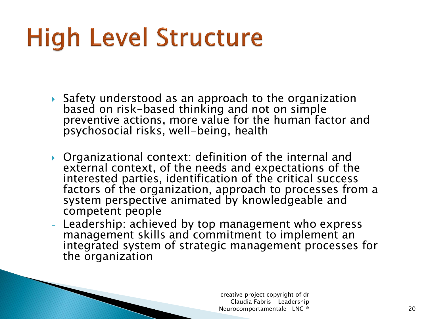- Safety understood as an approach to the organization based on risk-based thinking and not on simple preventive actions, more value for the human factor and psychosocial risks, well-being, health
- ▶ Organizational context: definition of the internal and external context, of the needs and expectations of the interested parties, identification of the critical success factors of the organization, approach to processes from a system perspective animated by knowledgeable and competent people
- Leadership: achieved by top management who express management skills and commitment to implement an integrated system of strategic management processes for the organization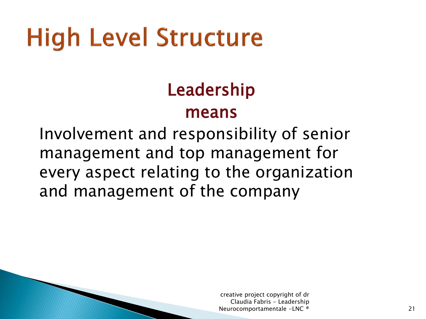#### Leadership

#### means

Involvement and responsibility of senior management and top management for every aspect relating to the organization and management of the company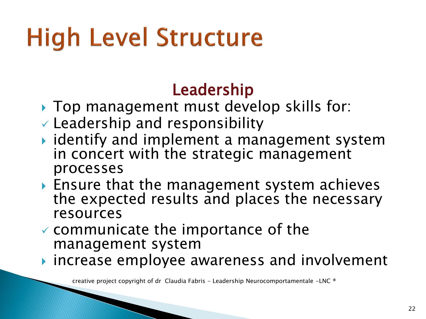#### Leadership

- ▶ Top management must develop skills for:
- $\vee$  Leadership and responsibility
- $\rightarrow$  identify and implement a management system in concert with the strategic management processes
- ▶ Ensure that the management system achieves the expected results and places the necessary resources
- $\checkmark$  communicate the importance of the management system
- **increase employee awareness and involvement**